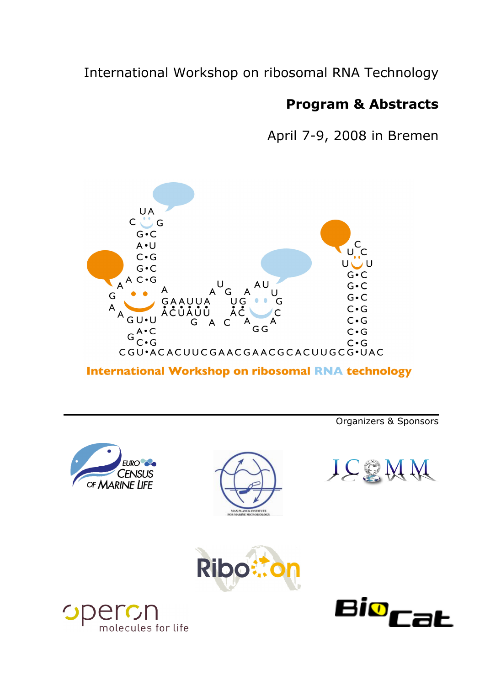# International Workshop on ribosomal RNA Technology

# **Program & Abstracts**

April 7-9, 2008 in Bremen



**International Workshop on ribosomal RNA technology** 

Organizers & Sponsors











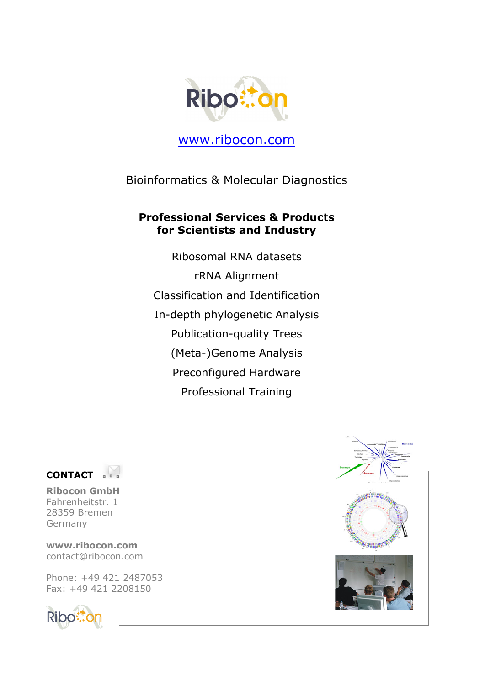

www.ribocon.com

Bioinformatics & Molecular Diagnostics

# **Professional Services & Products for Scientists and Industry**

Ribosomal RNA datasets rRNA Alignment Classification and Identification In-depth phylogenetic Analysis Publication-quality Trees (Meta-)Genome Analysis Preconfigured Hardware Professional Training



**Ribocon GmbH**  Fahrenheitstr. 1 28359 Bremen Germany

**www.ribocon.com**  contact@ribocon.com

Phone: +49 421 2487053 Fax: +49 421 2208150



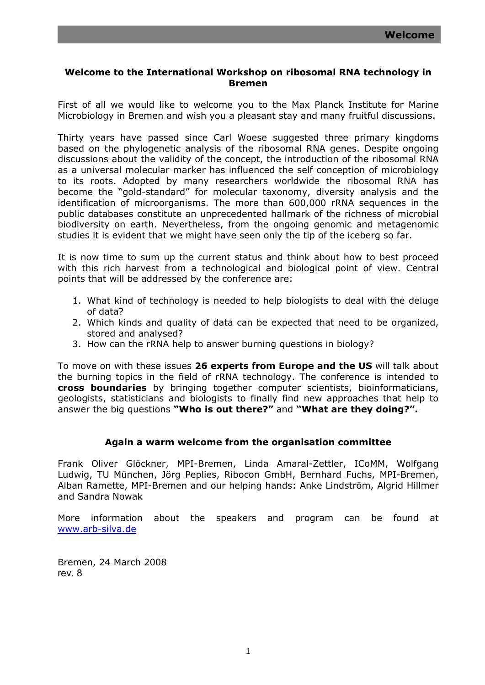# **Welcome to the International Workshop on ribosomal RNA technology in Bremen**

First of all we would like to welcome you to the Max Planck Institute for Marine Microbiology in Bremen and wish you a pleasant stay and many fruitful discussions.

Thirty years have passed since Carl Woese suggested three primary kingdoms based on the phylogenetic analysis of the ribosomal RNA genes. Despite ongoing discussions about the validity of the concept, the introduction of the ribosomal RNA as a universal molecular marker has influenced the self conception of microbiology to its roots. Adopted by many researchers worldwide the ribosomal RNA has become the "gold-standard" for molecular taxonomy, diversity analysis and the identification of microorganisms. The more than 600,000 rRNA sequences in the public databases constitute an unprecedented hallmark of the richness of microbial biodiversity on earth. Nevertheless, from the ongoing genomic and metagenomic studies it is evident that we might have seen only the tip of the iceberg so far.

It is now time to sum up the current status and think about how to best proceed with this rich harvest from a technological and biological point of view. Central points that will be addressed by the conference are:

- 1. What kind of technology is needed to help biologists to deal with the deluge of data?
- 2. Which kinds and quality of data can be expected that need to be organized, stored and analysed?
- 3. How can the rRNA help to answer burning questions in biology?

To move on with these issues **26 experts from Europe and the US** will talk about the burning topics in the field of rRNA technology. The conference is intended to **cross boundaries** by bringing together computer scientists, bioinformaticians, geologists, statisticians and biologists to finally find new approaches that help to answer the big questions **"Who is out there?"** and **"What are they doing?".**

# **Again a warm welcome from the organisation committee**

Frank Oliver Glöckner, MPI-Bremen, Linda Amaral-Zettler, ICoMM, Wolfgang Ludwig, TU München, Jörg Peplies, Ribocon GmbH, Bernhard Fuchs, MPI-Bremen, Alban Ramette, MPI-Bremen and our helping hands: Anke Lindström, Algrid Hillmer and Sandra Nowak

More information about the speakers and program can be found at www.arb-silva.de

Bremen, 24 March 2008 rev. 8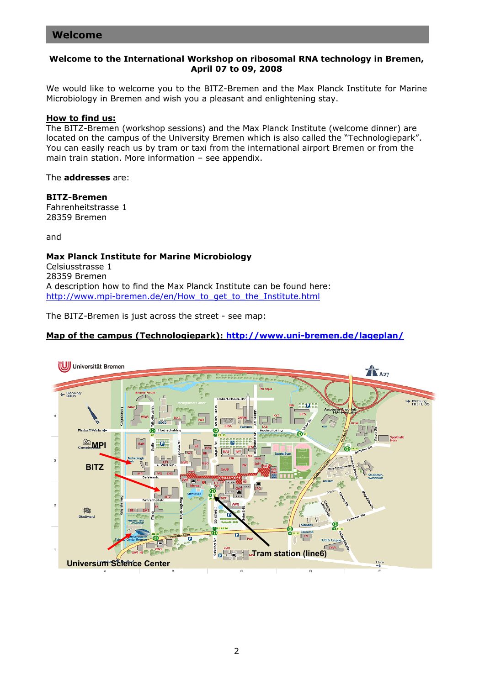# **Welcome to the International Workshop on ribosomal RNA technology in Bremen, April 07 to 09, 2008**

We would like to welcome you to the BITZ-Bremen and the Max Planck Institute for Marine Microbiology in Bremen and wish you a pleasant and enlightening stay.

# **How to find us:**

The BITZ-Bremen (workshop sessions) and the Max Planck Institute (welcome dinner) are located on the campus of the University Bremen which is also called the "Technologiepark". You can easily reach us by tram or taxi from the international airport Bremen or from the main train station. More information – see appendix.

The **addresses** are:

#### **BITZ-Bremen**

Fahrenheitstrasse 1 28359 Bremen

and

#### **Max Planck Institute for Marine Microbiology** Celsiusstrasse 1 28359 Bremen A description how to find the Max Planck Institute can be found here: http://www.mpi-bremen.de/en/How to get to the Institute.html

The BITZ-Bremen is just across the street - see map:

# **Map of the campus (Technologiepark): http://www.uni-bremen.de/lageplan/**

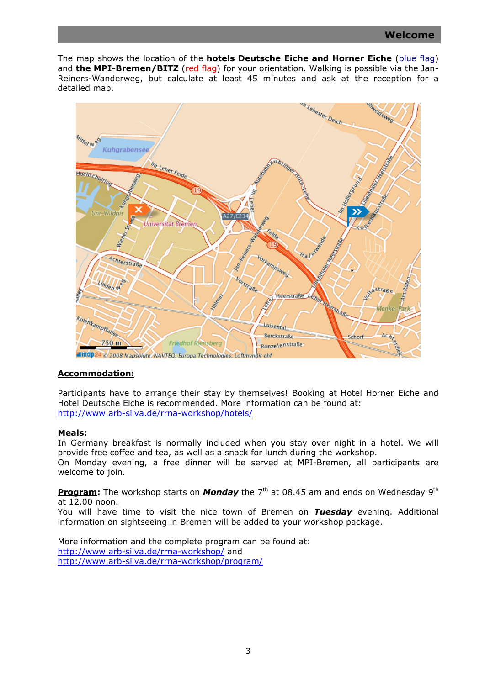The map shows the location of the **hotels Deutsche Eiche and Horner Eiche** (blue flag) and **the MPI-Bremen/BITZ** (red flag) for your orientation. Walking is possible via the Jan-Reiners-Wanderweg, but calculate at least 45 minutes and ask at the reception for a detailed map.



# **Accommodation:**

welcome to join.

Participants have to arrange their stay by themselves! Booking at Hotel Horner Eiche and Hotel Deutsche Eiche is recommended. More information can be found at: http://www.arb-silva.de/rrna-workshop/hotels/

# **Meals:**

In Germany breakfast is normally included when you stay over night in a hotel. We will provide free coffee and tea, as well as a snack for lunch during the workshop. On Monday evening, a free dinner will be served at MPI-Bremen, all participants are

**Program:** The workshop starts on **Monday** the 7<sup>th</sup> at 08.45 am and ends on Wednesday 9<sup>th</sup>

at 12.00 noon. You will have time to visit the nice town of Bremen on *Tuesday* evening. Additional information on sightseeing in Bremen will be added to your workshop package.

More information and the complete program can be found at: http://www.arb-silva.de/rrna-workshop/ and http://www.arb-silva.de/rrna-workshop/program/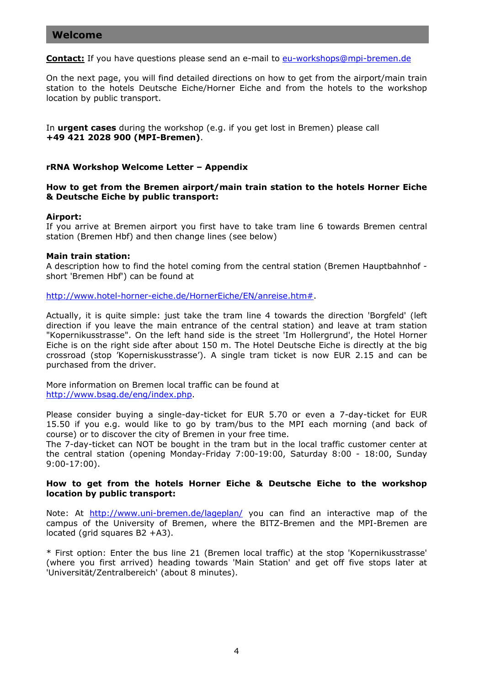# **Welcome**

**Contact:** If you have questions please send an e-mail to eu-workshops@mpi-bremen.de

On the next page, you will find detailed directions on how to get from the airport/main train station to the hotels Deutsche Eiche/Horner Eiche and from the hotels to the workshop location by public transport.

In **urgent cases** during the workshop (e.g. if you get lost in Bremen) please call **+49 421 2028 900 (MPI-Bremen)**.

#### **rRNA Workshop Welcome Letter – Appendix**

**How to get from the Bremen airport/main train station to the hotels Horner Eiche & Deutsche Eiche by public transport:** 

#### **Airport:**

If you arrive at Bremen airport you first have to take tram line 6 towards Bremen central station (Bremen Hbf) and then change lines (see below)

#### **Main train station:**

A description how to find the hotel coming from the central station (Bremen Hauptbahnhof short 'Bremen Hbf') can be found at

http://www.hotel-horner-eiche.de/HornerEiche/EN/anreise.htm#.

Actually, it is quite simple: just take the tram line 4 towards the direction 'Borgfeld' (left direction if you leave the main entrance of the central station) and leave at tram station "Kopernikusstrasse". On the left hand side is the street 'Im Hollergrund', the Hotel Horner Eiche is on the right side after about 150 m. The Hotel Deutsche Eiche is directly at the big crossroad (stop 'Koperniskusstrasse'). A single tram ticket is now EUR 2.15 and can be purchased from the driver.

More information on Bremen local traffic can be found at http://www.bsag.de/eng/index.php.

Please consider buying a single-day-ticket for EUR 5.70 or even a 7-day-ticket for EUR 15.50 if you e.g. would like to go by tram/bus to the MPI each morning (and back of course) or to discover the city of Bremen in your free time.

The 7-day-ticket can NOT be bought in the tram but in the local traffic customer center at the central station (opening Monday-Friday 7:00-19:00, Saturday 8:00 - 18:00, Sunday 9:00-17:00).

# **How to get from the hotels Horner Eiche & Deutsche Eiche to the workshop location by public transport:**

Note: At http://www.uni-bremen.de/lageplan/ you can find an interactive map of the campus of the University of Bremen, where the BITZ-Bremen and the MPI-Bremen are located (grid squares B2 +A3).

\* First option: Enter the bus line 21 (Bremen local traffic) at the stop 'Kopernikusstrasse' (where you first arrived) heading towards 'Main Station' and get off five stops later at 'Universität/Zentralbereich' (about 8 minutes).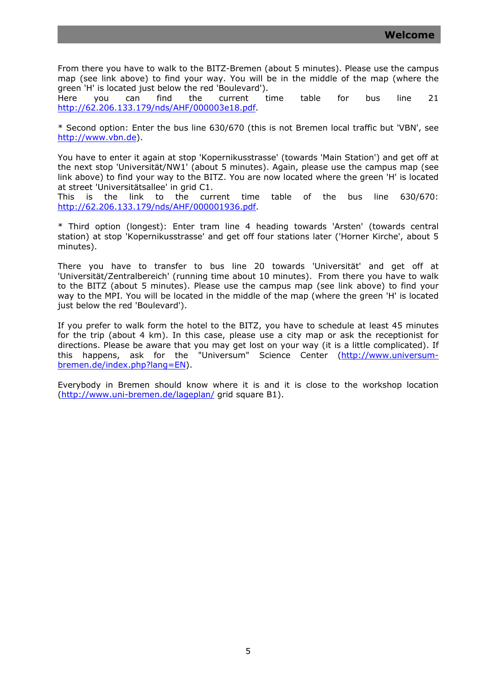From there you have to walk to the BITZ-Bremen (about 5 minutes). Please use the campus map (see link above) to find your way. You will be in the middle of the map (where the green 'H' is located just below the red 'Boulevard').

Here you can find the current time table for bus line 21 http://62.206.133.179/nds/AHF/000003e18.pdf.

\* Second option: Enter the bus line 630/670 (this is not Bremen local traffic but 'VBN', see http://www.vbn.de).

You have to enter it again at stop 'Kopernikusstrasse' (towards 'Main Station') and get off at the next stop 'Universität/NW1' (about 5 minutes). Again, please use the campus map (see link above) to find your way to the BITZ. You are now located where the green 'H' is located at street 'Universitätsallee' in grid C1.

This is the link to the current time table of the bus line 630/670: http://62.206.133.179/nds/AHF/000001936.pdf.

\* Third option (longest): Enter tram line 4 heading towards 'Arsten' (towards central station) at stop 'Kopernikusstrasse' and get off four stations later ('Horner Kirche', about 5 minutes).

There you have to transfer to bus line 20 towards 'Universität' and get off at 'Universität/Zentralbereich' (running time about 10 minutes). From there you have to walk to the BITZ (about 5 minutes). Please use the campus map (see link above) to find your way to the MPI. You will be located in the middle of the map (where the green 'H' is located just below the red 'Boulevard').

If you prefer to walk form the hotel to the BITZ, you have to schedule at least 45 minutes for the trip (about 4 km). In this case, please use a city map or ask the receptionist for directions. Please be aware that you may get lost on your way (it is a little complicated). If this happens, ask for the "Universum" Science Center (http://www.universumbremen.de/index.php?lang=EN).

Everybody in Bremen should know where it is and it is close to the workshop location (http://www.uni-bremen.de/lageplan/ grid square B1).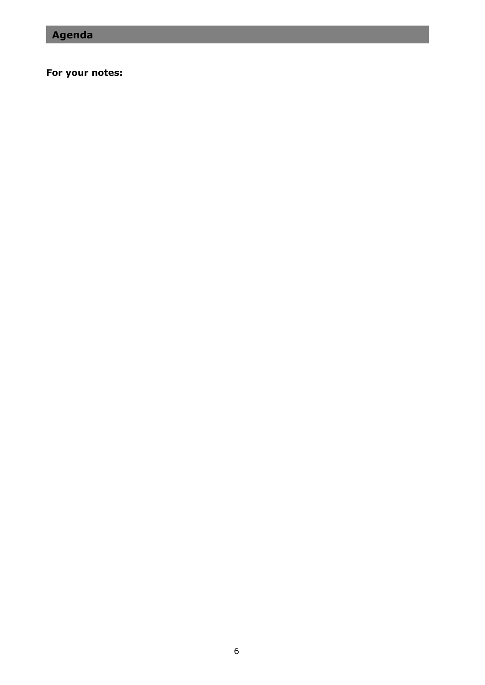# **For your notes:**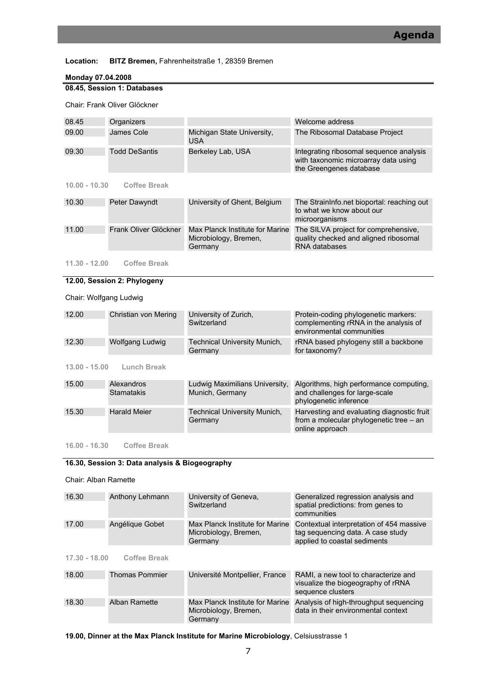#### **Location: BITZ Bremen,** Fahrenheitstraße 1, 28359 Bremen

#### **Monday 07.04.2008**

|       | 08.45, Session 1: Databases  |                                          |                                                                                                            |
|-------|------------------------------|------------------------------------------|------------------------------------------------------------------------------------------------------------|
|       | Chair: Frank Oliver Glöckner |                                          |                                                                                                            |
| 08.45 | Organizers                   |                                          | Welcome address                                                                                            |
| 09.00 | James Cole                   | Michigan State University,<br><b>USA</b> | The Ribosomal Database Project                                                                             |
| 09.30 | <b>Todd DeSantis</b>         | Berkeley Lab, USA                        | Integrating ribosomal sequence analysis<br>with taxonomic microarray data using<br>the Greengenes database |

#### **10.00 - 10.30 Coffee Break**

| 10.30<br>University of Ghent, Belgium<br>Peter Dawyndt<br>to what we know about our<br>microorganisms |       |                       |                                 |                                                                               |
|-------------------------------------------------------------------------------------------------------|-------|-----------------------|---------------------------------|-------------------------------------------------------------------------------|
|                                                                                                       |       |                       |                                 | The StrainInfo.net bioportal: reaching out                                    |
| Microbiology, Bremen,<br>RNA databases<br>Germany                                                     | 11.00 | Frank Oliver Glöckner | Max Planck Institute for Marine | The SILVA project for comprehensive,<br>quality checked and aligned ribosomal |

#### $11.30 - 12.00$ **11.30 - 12.00 Coffee Break**

# **12.00, Session 2: Phylogeny**

# Chair: Wolfgang Ludwig

| 12.00           | Christian von Mering            | University of Zurich,<br>Switzerland              | Protein-coding phylogenetic markers:<br>complementing rRNA in the analysis of<br>environmental communities |
|-----------------|---------------------------------|---------------------------------------------------|------------------------------------------------------------------------------------------------------------|
| 12.30           | Wolfgang Ludwig                 | Technical University Munich,<br>Germany           | rRNA based phylogeny still a backbone<br>for taxonomy?                                                     |
| $13.00 - 15.00$ | Lunch Break                     |                                                   |                                                                                                            |
| 15.00           | Alexandros<br><b>Stamatakis</b> | Ludwig Maximilians University,<br>Munich, Germany | Algorithms, high performance computing,<br>and challenges for large-scale<br>phylogenetic inference        |
| 15.30           | <b>Harald Meier</b>             | <b>Technical University Munich,</b><br>Germany    | Harvesting and evaluating diagnostic fruit<br>from a molecular phylogenetic tree - an<br>online approach   |

**16.00 - 16.30 Coffee Break** 

# **16.30, Session 3: Data analysis & Biogeography**

#### Chair: Alban Ramette

| 16.30           | Anthony Lehmann       | University of Geneva,<br>Switzerland                                | Generalized regression analysis and<br>spatial predictions: from genes to<br>communities                      |
|-----------------|-----------------------|---------------------------------------------------------------------|---------------------------------------------------------------------------------------------------------------|
| 17.00           | Angélique Gobet       | Max Planck Institute for Marine<br>Microbiology, Bremen,<br>Germany | Contextual interpretation of 454 massive<br>tag sequencing data. A case study<br>applied to coastal sediments |
| $17.30 - 18.00$ | <b>Coffee Break</b>   |                                                                     |                                                                                                               |
| 18.00           | <b>Thomas Pommier</b> | Université Montpellier, France                                      | RAMI, a new tool to characterize and<br>visualize the biogeography of rRNA<br>sequence clusters               |
| 18.30           | Alban Ramette         | Max Planck Institute for Marine<br>Microbiology, Bremen,<br>Germany | Analysis of high-throughput sequencing<br>data in their environmental context                                 |

**19.00, Dinner at the Max Planck Institute for Marine Microbiology**, Celsiusstrasse 1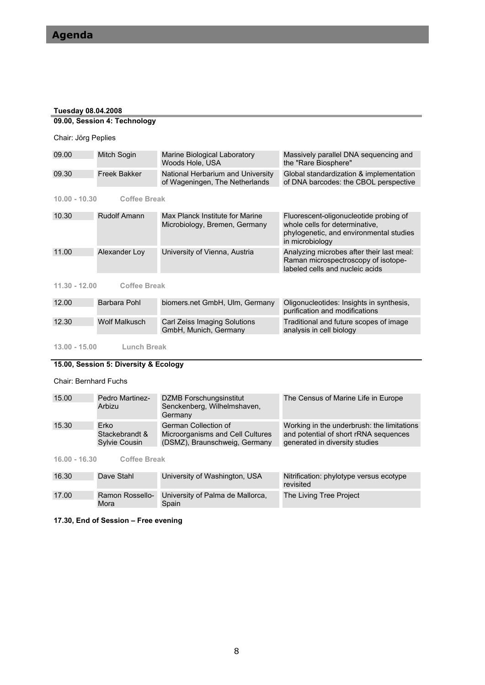#### **Tuesday 08.04.2008**

|                     | 09.00, Session 4: Technology |                                                                     |                                                                                                                                        |
|---------------------|------------------------------|---------------------------------------------------------------------|----------------------------------------------------------------------------------------------------------------------------------------|
| Chair: Jörg Peplies |                              |                                                                     |                                                                                                                                        |
| 09.00               | Mitch Sogin                  | Marine Biological Laboratory<br>Woods Hole. USA                     | Massively parallel DNA sequencing and<br>the "Rare Biosphere"                                                                          |
| 09.30               | <b>Freek Bakker</b>          | National Herbarium and University<br>of Wageningen, The Netherlands | Global standardization & implementation<br>of DNA barcodes: the CBOL perspective                                                       |
| $10.00 - 10.30$     | <b>Coffee Break</b>          |                                                                     |                                                                                                                                        |
| 10.30               | <b>Rudolf Amann</b>          | Max Planck Institute for Marine<br>Microbiology, Bremen, Germany    | Fluorescent-oligonucleotide probing of<br>whole cells for determinative.<br>phylogenetic, and environmental studies<br>in microbiology |
| 11.00               | Alexander Loy                | University of Vienna, Austria                                       | Analyzing microbes after their last meal:<br>Raman microspectroscopy of isotope-<br>labeled cells and nucleic acids                    |
| $11.30 - 12.00$     | <b>Coffee Break</b>          |                                                                     |                                                                                                                                        |
|                     |                              |                                                                     |                                                                                                                                        |

| 12.00 | Barbara Pohl  | biomers.net GmbH, Ulm, Germany                        | Oligonucleotides: Insights in synthesis,<br>purification and modifications |
|-------|---------------|-------------------------------------------------------|----------------------------------------------------------------------------|
| 12.30 | Wolf Malkusch | Carl Zeiss Imaging Solutions<br>GmbH, Munich, Germany | Traditional and future scopes of image<br>analysis in cell biology         |

 $13.00 - 15.00$ **Lunch Break** 

#### **15.00, Session 5: Diversity & Ecology**

#### Chair: Bernhard Fuchs

| 15.00 | Pedro Martinez-<br>Arbizu | DZMB Forschungsinstitut<br>Senckenberg, Wilhelmshaven,<br>Germany | The Census of Marine Life in Europe        |
|-------|---------------------------|-------------------------------------------------------------------|--------------------------------------------|
| 15.30 | Erko                      | German Collection of                                              | Working in the underbrush: the limitations |
|       | Stackebrandt &            | Microorganisms and Cell Cultures                                  | and potential of short rRNA sequences      |
|       | <b>Sylvie Cousin</b>      | (DSMZ), Braunschweig, Germany                                     | generated in diversity studies             |

**16.00 - 16.30 Coffee Break** 

| 16.30 | Dave Stahl              | University of Washington, USA             | Nitrification: phylotype versus ecotype<br>revisited |
|-------|-------------------------|-------------------------------------------|------------------------------------------------------|
| 17.00 | Ramon Rossello-<br>Mora | University of Palma de Mallorca,<br>Spain | The Living Tree Project                              |

**17.30, End of Session – Free evening**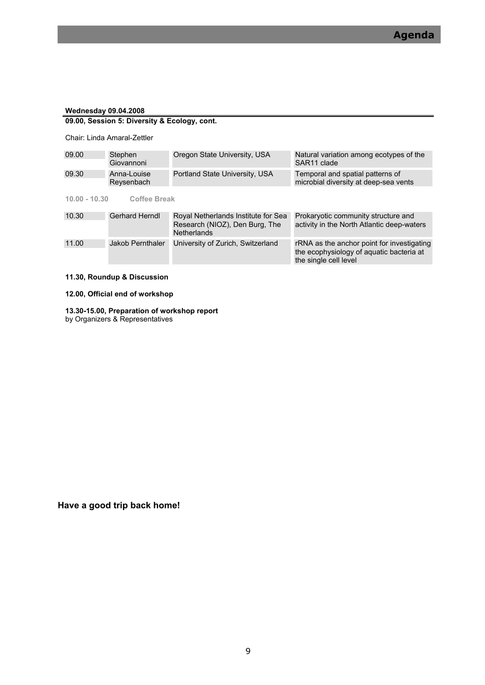#### **Wednesday 09.04.2008**

# **09.00, Session 5: Diversity & Ecology, cont.**

Chair: Linda Amaral-Zettler

| 09.00           | Stephen<br>Giovannoni     | Oregon State University, USA                                                                | Natural variation among ecotypes of the<br>SAR <sub>11</sub> clade                                              |
|-----------------|---------------------------|---------------------------------------------------------------------------------------------|-----------------------------------------------------------------------------------------------------------------|
| 09.30           | Anna-Louise<br>Reysenbach | Portland State University, USA                                                              | Temporal and spatial patterns of<br>microbial diversity at deep-sea vents                                       |
| $10.00 - 10.30$ | <b>Coffee Break</b>       |                                                                                             |                                                                                                                 |
| 10.30           | Gerhard Herndl            | Royal Netherlands Institute for Sea<br>Research (NIOZ), Den Burg, The<br><b>Netherlands</b> | Prokaryotic community structure and<br>activity in the North Atlantic deep-waters                               |
| 11.00           | Jakob Pernthaler          | University of Zurich, Switzerland                                                           | rRNA as the anchor point for investigating<br>the ecophysiology of aquatic bacteria at<br>the single cell level |

#### **11.30, Roundup & Discussion**

**12.00, Official end of workshop** 

#### **13.30-15.00, Preparation of workshop report**  by Organizers & Representatives

**Have a good trip back home!**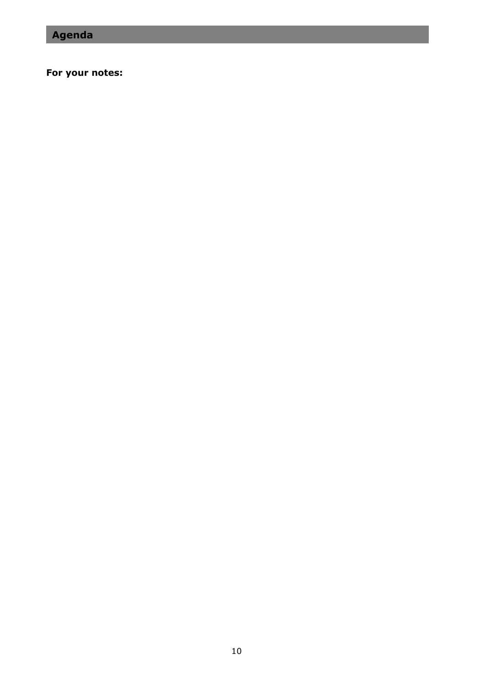# **For your notes:**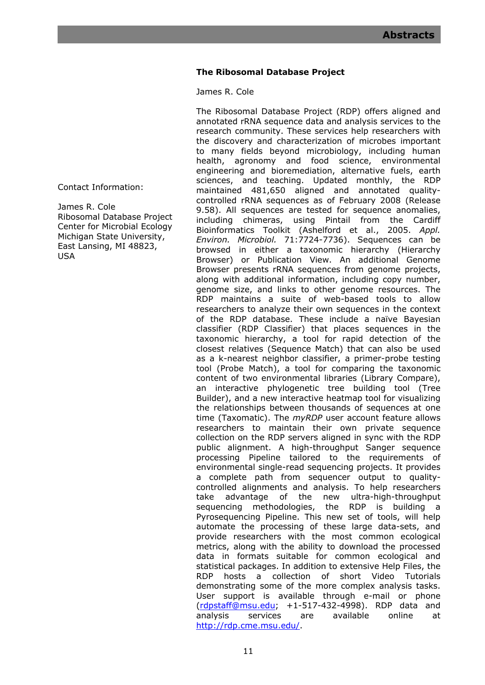# **The Ribosomal Database Project**

James R. Cole

The Ribosomal Database Project (RDP) offers aligned and annotated rRNA sequence data and analysis services to the research community. These services help researchers with the discovery and characterization of microbes important to many fields beyond microbiology, including human health, agronomy and food science, environmental engineering and bioremediation, alternative fuels, earth sciences, and teaching. Updated monthly, the RDP maintained 481,650 aligned and annotated qualitycontrolled rRNA sequences as of February 2008 (Release 9.58). All sequences are tested for sequence anomalies, including chimeras, using Pintail from the Cardiff Bioinformatics Toolkit (Ashelford et al., 2005. *Appl. Environ. Microbiol.* 71:7724-7736). Sequences can be browsed in either a taxonomic hierarchy (Hierarchy Browser) or Publication View. An additional Genome Browser presents rRNA sequences from genome projects, along with additional information, including copy number, genome size, and links to other genome resources. The RDP maintains a suite of web-based tools to allow researchers to analyze their own sequences in the context of the RDP database. These include a naïve Bayesian classifier (RDP Classifier) that places sequences in the taxonomic hierarchy, a tool for rapid detection of the closest relatives (Sequence Match) that can also be used as a k-nearest neighbor classifier, a primer-probe testing tool (Probe Match), a tool for comparing the taxonomic content of two environmental libraries (Library Compare), an interactive phylogenetic tree building tool (Tree Builder), and a new interactive heatmap tool for visualizing the relationships between thousands of sequences at one time (Taxomatic). The *myRDP* user account feature allows researchers to maintain their own private sequence collection on the RDP servers aligned in sync with the RDP public alignment. A high-throughput Sanger sequence processing Pipeline tailored to the requirements of environmental single-read sequencing projects. It provides a complete path from sequencer output to qualitycontrolled alignments and analysis. To help researchers take advantage of the new ultra-high-throughput sequencing methodologies, the RDP is building a Pyrosequencing Pipeline. This new set of tools, will help automate the processing of these large data-sets, and provide researchers with the most common ecological metrics, along with the ability to download the processed data in formats suitable for common ecological and statistical packages. In addition to extensive Help Files, the RDP hosts a collection of short Video Tutorials demonstrating some of the more complex analysis tasks. User support is available through e-mail or phone (rdpstaff@msu.edu; +1-517-432-4998). RDP data and analysis services are available online at http://rdp.cme.msu.edu/.

Contact Information:

James R. Cole Ribosomal Database Project Center for Microbial Ecology Michigan State University, East Lansing, MI 48823, USA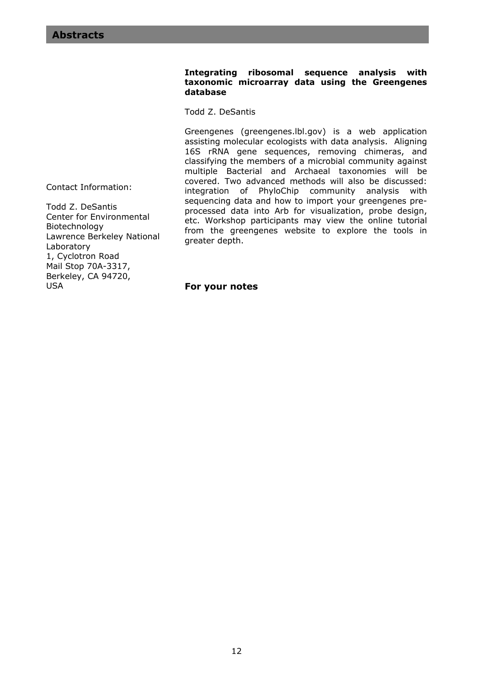### **Integrating ribosomal sequence analysis with taxonomic microarray data using the Greengenes database**

Todd Z. DeSantis

Greengenes (greengenes.lbl.gov) is a web application assisting molecular ecologists with data analysis. Aligning 16S rRNA gene sequences, removing chimeras, and classifying the members of a microbial community against multiple Bacterial and Archaeal taxonomies will be covered. Two advanced methods will also be discussed: integration of PhyloChip community analysis with sequencing data and how to import your greengenes preprocessed data into Arb for visualization, probe design, etc. Workshop participants may view the online tutorial from the greengenes website to explore the tools in greater depth.

Contact Information:

Todd Z. DeSantis Center for Environmental Biotechnology Lawrence Berkeley National Laboratory 1, Cyclotron Road Mail Stop 70A-3317, Berkeley, CA 94720, USA

**For your notes**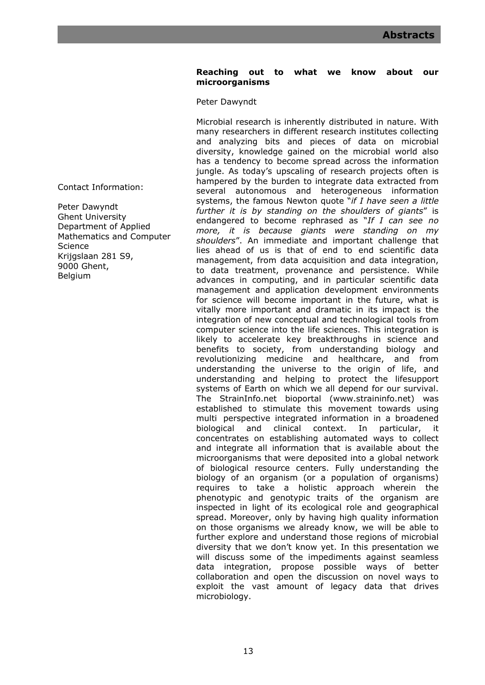# **Reaching out to what we know about our microorganisms**

Peter Dawyndt

Microbial research is inherently distributed in nature. With many researchers in different research institutes collecting and analyzing bits and pieces of data on microbial diversity, knowledge gained on the microbial world also has a tendency to become spread across the information jungle. As today's upscaling of research projects often is hampered by the burden to integrate data extracted from several autonomous and heterogeneous information systems, the famous Newton quote "*if I have seen a little further it is by standing on the shoulders of giants*" is endangered to become rephrased as "*If I can see no more, it is because giants were standing on my shoulders*". An immediate and important challenge that lies ahead of us is that of end to end scientific data management, from data acquisition and data integration, to data treatment, provenance and persistence. While advances in computing, and in particular scientific data management and application development environments for science will become important in the future, what is vitally more important and dramatic in its impact is the integration of new conceptual and technological tools from computer science into the life sciences. This integration is likely to accelerate key breakthroughs in science and benefits to society, from understanding biology and revolutionizing medicine and healthcare, and from understanding the universe to the origin of life, and understanding and helping to protect the lifesupport systems of Earth on which we all depend for our survival. The StrainInfo.net bioportal (www.straininfo.net) was established to stimulate this movement towards using multi perspective integrated information in a broadened biological and clinical context. In particular, it concentrates on establishing automated ways to collect and integrate all information that is available about the microorganisms that were deposited into a global network of biological resource centers. Fully understanding the biology of an organism (or a population of organisms) requires to take a holistic approach wherein the phenotypic and genotypic traits of the organism are inspected in light of its ecological role and geographical spread. Moreover, only by having high quality information on those organisms we already know, we will be able to further explore and understand those regions of microbial diversity that we don't know yet. In this presentation we will discuss some of the impediments against seamless data integration, propose possible ways of better collaboration and open the discussion on novel ways to exploit the vast amount of legacy data that drives microbiology.

Contact Information:

Peter Dawyndt Ghent University Department of Applied Mathematics and Computer Science Krijgslaan 281 S9, 9000 Ghent, Belgium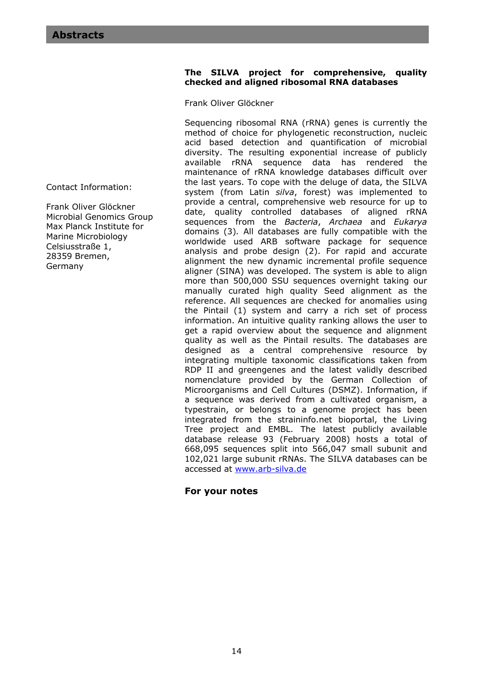### **The SILVA project for comprehensive, quality checked and aligned ribosomal RNA databases**

Frank Oliver Glöckner

Sequencing ribosomal RNA (rRNA) genes is currently the method of choice for phylogenetic reconstruction, nucleic acid based detection and quantification of microbial diversity. The resulting exponential increase of publicly available rRNA sequence data has rendered the maintenance of rRNA knowledge databases difficult over the last years. To cope with the deluge of data, the SILVA system (from Latin *silva*, forest) was implemented to provide a central, comprehensive web resource for up to date, quality controlled databases of aligned rRNA sequences from the *Bacteria*, *Archaea* and *Eukarya* domains (3)*.* All databases are fully compatible with the worldwide used ARB software package for sequence analysis and probe design (2). For rapid and accurate alignment the new dynamic incremental profile sequence aligner (SINA) was developed. The system is able to align more than 500,000 SSU sequences overnight taking our manually curated high quality Seed alignment as the reference. All sequences are checked for anomalies using the Pintail (1) system and carry a rich set of process information. An intuitive quality ranking allows the user to get a rapid overview about the sequence and alignment quality as well as the Pintail results. The databases are designed as a central comprehensive resource by integrating multiple taxonomic classifications taken from RDP II and greengenes and the latest validly described nomenclature provided by the German Collection of Microorganisms and Cell Cultures (DSMZ). Information, if a sequence was derived from a cultivated organism, a typestrain, or belongs to a genome project has been integrated from the straininfo.net bioportal, the Living Tree project and EMBL. The latest publicly available database release 93 (February 2008) hosts a total of 668,095 sequences split into 566,047 small subunit and 102,021 large subunit rRNAs. The SILVA databases can be accessed at www.arb-silva.de

# **For your notes**

Contact Information:

Frank Oliver Glöckner Microbial Genomics Group Max Planck Institute for Marine Microbiology Celsiusstraße 1, 28359 Bremen, Germany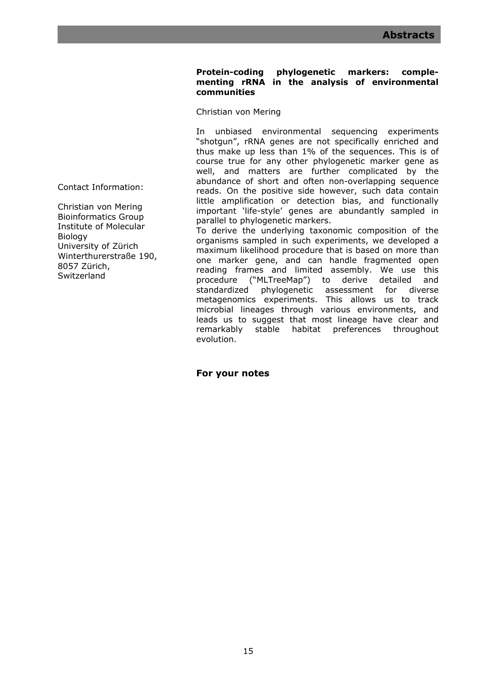# **Protein-coding phylogenetic markers: complementing rRNA in the analysis of environmental communities**

Christian von Mering

In unbiased environmental sequencing experiments "shotgun", rRNA genes are not specifically enriched and thus make up less than 1% of the sequences. This is of course true for any other phylogenetic marker gene as well, and matters are further complicated by the abundance of short and often non-overlapping sequence reads. On the positive side however, such data contain little amplification or detection bias, and functionally important 'life-style' genes are abundantly sampled in parallel to phylogenetic markers.

To derive the underlying taxonomic composition of the organisms sampled in such experiments, we developed a maximum likelihood procedure that is based on more than one marker gene, and can handle fragmented open reading frames and limited assembly. We use this procedure ("MLTreeMap") to derive detailed and standardized phylogenetic assessment for diverse metagenomics experiments. This allows us to track microbial lineages through various environments, and leads us to suggest that most lineage have clear and remarkably stable habitat preferences throughout evolution.

**For your notes** 

Contact Information:

Christian von Mering Bioinformatics Group Institute of Molecular Biology University of Zürich Winterthurerstraße 190, 8057 Zürich, Switzerland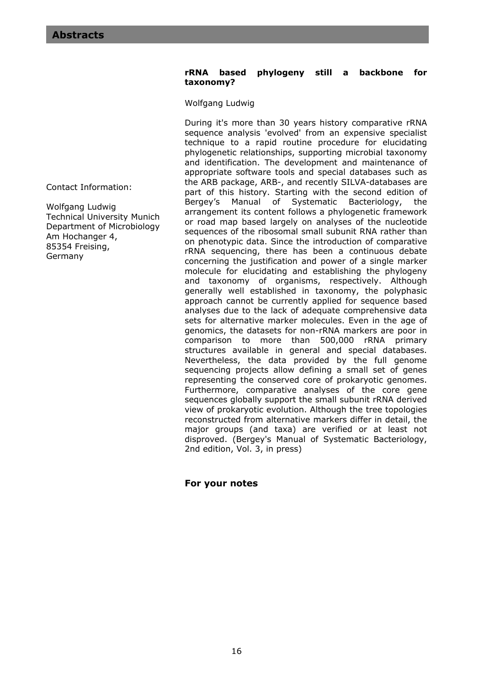### **rRNA based phylogeny still a backbone for taxonomy?**

Wolfgang Ludwig

During it's more than 30 years history comparative rRNA sequence analysis 'evolved' from an expensive specialist technique to a rapid routine procedure for elucidating phylogenetic relationships, supporting microbial taxonomy and identification. The development and maintenance of appropriate software tools and special databases such as the ARB package, ARB-, and recently SILVA-databases are part of this history. Starting with the second edition of Bergey's Manual of Systematic Bacteriology, the arrangement its content follows a phylogenetic framework or road map based largely on analyses of the nucleotide sequences of the ribosomal small subunit RNA rather than on phenotypic data. Since the introduction of comparative rRNA sequencing, there has been a continuous debate concerning the justification and power of a single marker molecule for elucidating and establishing the phylogeny and taxonomy of organisms, respectively. Although generally well established in taxonomy, the polyphasic approach cannot be currently applied for sequence based analyses due to the lack of adequate comprehensive data sets for alternative marker molecules. Even in the age of genomics, the datasets for non-rRNA markers are poor in comparison to more than 500,000 rRNA primary structures available in general and special databases. Nevertheless, the data provided by the full genome sequencing projects allow defining a small set of genes representing the conserved core of prokaryotic genomes. Furthermore, comparative analyses of the core gene sequences globally support the small subunit rRNA derived view of prokaryotic evolution. Although the tree topologies reconstructed from alternative markers differ in detail, the major groups (and taxa) are verified or at least not disproved. (Bergey's Manual of Systematic Bacteriology, 2nd edition, Vol. 3, in press)

# **For your notes**

Contact Information:

Wolfgang Ludwig Technical University Munich Department of Microbiology Am Hochanger 4, 85354 Freising, Germany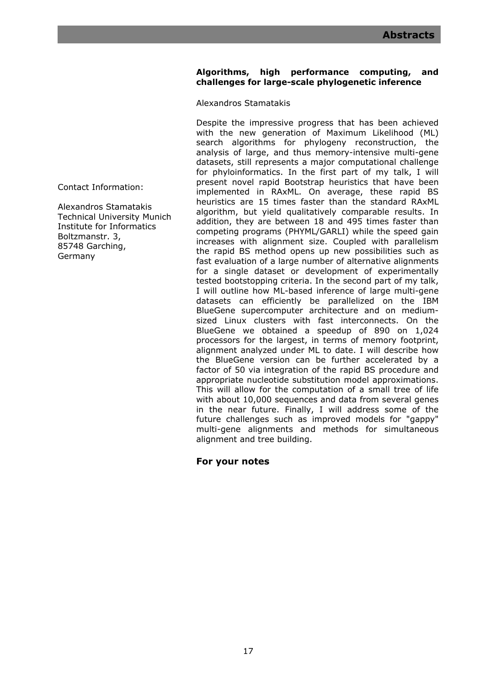# **Algorithms, high performance computing, and challenges for large-scale phylogenetic inference**

Alexandros Stamatakis

Despite the impressive progress that has been achieved with the new generation of Maximum Likelihood (ML) search algorithms for phylogeny reconstruction, the analysis of large, and thus memory-intensive multi-gene datasets, still represents a major computational challenge for phyloinformatics. In the first part of my talk, I will present novel rapid Bootstrap heuristics that have been implemented in RAxML. On average, these rapid BS heuristics are 15 times faster than the standard RAxML algorithm, but yield qualitatively comparable results. In addition, they are between 18 and 495 times faster than competing programs (PHYML/GARLI) while the speed gain increases with alignment size. Coupled with parallelism the rapid BS method opens up new possibilities such as fast evaluation of a large number of alternative alignments for a single dataset or development of experimentally tested bootstopping criteria. In the second part of my talk, I will outline how ML-based inference of large multi-gene datasets can efficiently be parallelized on the IBM BlueGene supercomputer architecture and on mediumsized Linux clusters with fast interconnects. On the BlueGene we obtained a speedup of 890 on 1,024 processors for the largest, in terms of memory footprint, alignment analyzed under ML to date. I will describe how the BlueGene version can be further accelerated by a factor of 50 via integration of the rapid BS procedure and appropriate nucleotide substitution model approximations. This will allow for the computation of a small tree of life with about 10,000 sequences and data from several genes in the near future. Finally, I will address some of the future challenges such as improved models for "gappy" multi-gene alignments and methods for simultaneous alignment and tree building.

# **For your notes**

Contact Information:

Alexandros Stamatakis Technical University Munich Institute for Informatics Boltzmanstr. 3, 85748 Garching, Germany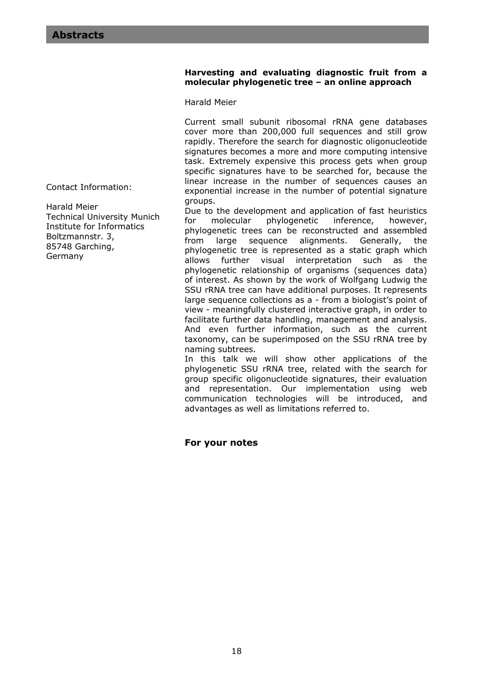## **Harvesting and evaluating diagnostic fruit from a molecular phylogenetic tree – an online approach**

Harald Meier

Current small subunit ribosomal rRNA gene databases cover more than 200,000 full sequences and still grow rapidly. Therefore the search for diagnostic oligonucleotide signatures becomes a more and more computing intensive task. Extremely expensive this process gets when group specific signatures have to be searched for, because the linear increase in the number of sequences causes an exponential increase in the number of potential signature groups.

Due to the development and application of fast heuristics for molecular phylogenetic inference, however, phylogenetic trees can be reconstructed and assembled from large sequence alignments. Generally, the phylogenetic tree is represented as a static graph which allows further visual interpretation such as the phylogenetic relationship of organisms (sequences data) of interest. As shown by the work of Wolfgang Ludwig the SSU rRNA tree can have additional purposes. It represents large sequence collections as a - from a biologist's point of view - meaningfully clustered interactive graph, in order to facilitate further data handling, management and analysis. And even further information, such as the current taxonomy, can be superimposed on the SSU rRNA tree by naming subtrees.

In this talk we will show other applications of the phylogenetic SSU rRNA tree, related with the search for group specific oligonucleotide signatures, their evaluation and representation. Our implementation using web communication technologies will be introduced, and advantages as well as limitations referred to.

# **For your notes**

Contact Information:

Harald Meier Technical University Munich Institute for Informatics Boltzmannstr. 3, 85748 Garching, Germany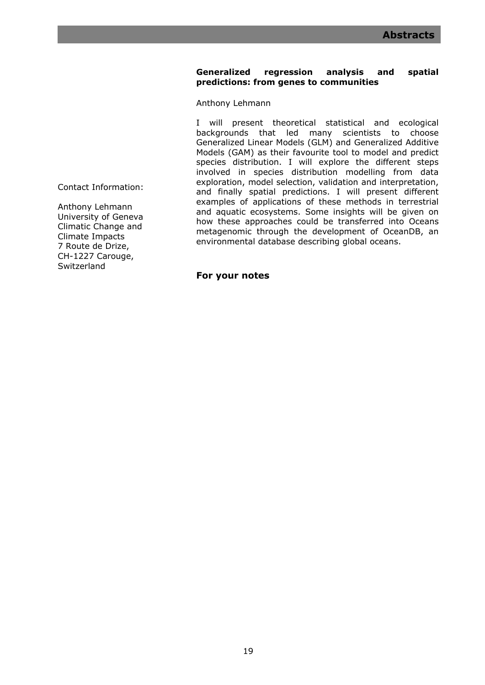# **Generalized regression analysis and spatial predictions: from genes to communities**

Anthony Lehmann

I will present theoretical statistical and ecological backgrounds that led many scientists to choose Generalized Linear Models (GLM) and Generalized Additive Models (GAM) as their favourite tool to model and predict species distribution. I will explore the different steps involved in species distribution modelling from data exploration, model selection, validation and interpretation, and finally spatial predictions. I will present different examples of applications of these methods in terrestrial and aquatic ecosystems. Some insights will be given on how these approaches could be transferred into Oceans metagenomic through the development of OceanDB, an environmental database describing global oceans.

**For your notes** 

Contact Information:

Anthony Lehmann University of Geneva Climatic Change and Climate Impacts 7 Route de Drize, CH-1227 Carouge, Switzerland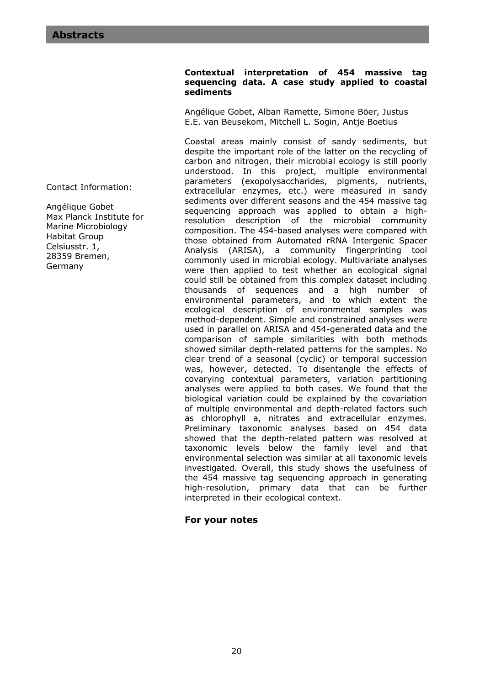Contact Information:

Angélique Gobet Max Planck Institute for Marine Microbiology Habitat Group Celsiusstr. 1, 28359 Bremen, Germany

### **Contextual interpretation of 454 massive tag sequencing data. A case study applied to coastal sediments**

Angélique Gobet, Alban Ramette, Simone Böer, Justus E.E. van Beusekom, Mitchell L. Sogin, Antje Boetius

Coastal areas mainly consist of sandy sediments, but despite the important role of the latter on the recycling of carbon and nitrogen, their microbial ecology is still poorly understood. In this project, multiple environmental parameters (exopolysaccharides, pigments, nutrients, extracellular enzymes, etc.) were measured in sandy sediments over different seasons and the 454 massive tag sequencing approach was applied to obtain a highresolution description of the microbial community composition. The 454-based analyses were compared with those obtained from Automated rRNA Intergenic Spacer Analysis (ARISA), a community fingerprinting tool commonly used in microbial ecology. Multivariate analyses were then applied to test whether an ecological signal could still be obtained from this complex dataset including thousands of sequences and a high number of environmental parameters, and to which extent the ecological description of environmental samples was method-dependent. Simple and constrained analyses were used in parallel on ARISA and 454-generated data and the comparison of sample similarities with both methods showed similar depth-related patterns for the samples. No clear trend of a seasonal (cyclic) or temporal succession was, however, detected. To disentangle the effects of covarying contextual parameters, variation partitioning analyses were applied to both cases. We found that the biological variation could be explained by the covariation of multiple environmental and depth-related factors such as chlorophyll a, nitrates and extracellular enzymes. Preliminary taxonomic analyses based on 454 data showed that the depth-related pattern was resolved at taxonomic levels below the family level and that environmental selection was similar at all taxonomic levels investigated. Overall, this study shows the usefulness of the 454 massive tag sequencing approach in generating high-resolution, primary data that can be further interpreted in their ecological context.

# **For your notes**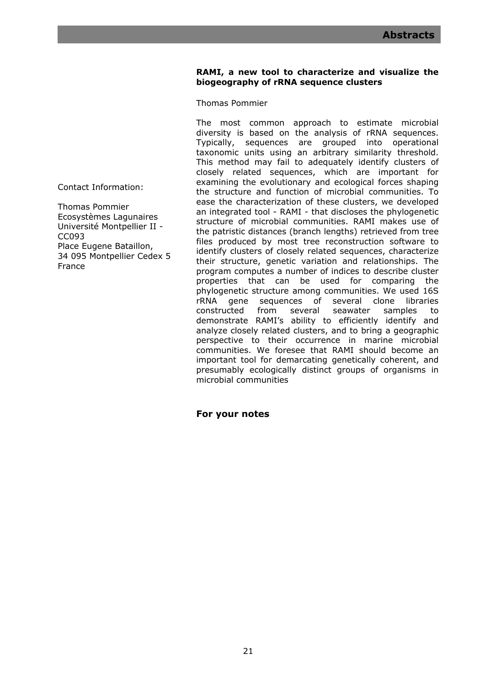# **RAMI, a new tool to characterize and visualize the biogeography of rRNA sequence clusters**

Thomas Pommier

The most common approach to estimate microbial diversity is based on the analysis of rRNA sequences. Typically, sequences are grouped into operational taxonomic units using an arbitrary similarity threshold. This method may fail to adequately identify clusters of closely related sequences, which are important for examining the evolutionary and ecological forces shaping the structure and function of microbial communities. To ease the characterization of these clusters, we developed an integrated tool - RAMI - that discloses the phylogenetic structure of microbial communities. RAMI makes use of the patristic distances (branch lengths) retrieved from tree files produced by most tree reconstruction software to identify clusters of closely related sequences, characterize their structure, genetic variation and relationships. The program computes a number of indices to describe cluster properties that can be used for comparing the phylogenetic structure among communities. We used 16S rRNA gene sequences of several clone libraries constructed from several seawater samples to demonstrate RAMI's ability to efficiently identify and analyze closely related clusters, and to bring a geographic perspective to their occurrence in marine microbial communities. We foresee that RAMI should become an important tool for demarcating genetically coherent, and presumably ecologically distinct groups of organisms in microbial communities

**For your notes** 

Contact Information:

Thomas Pommier Ecosystèmes Lagunaires Université Montpellier II - CC093 Place Eugene Bataillon, 34 095 Montpellier Cedex 5 France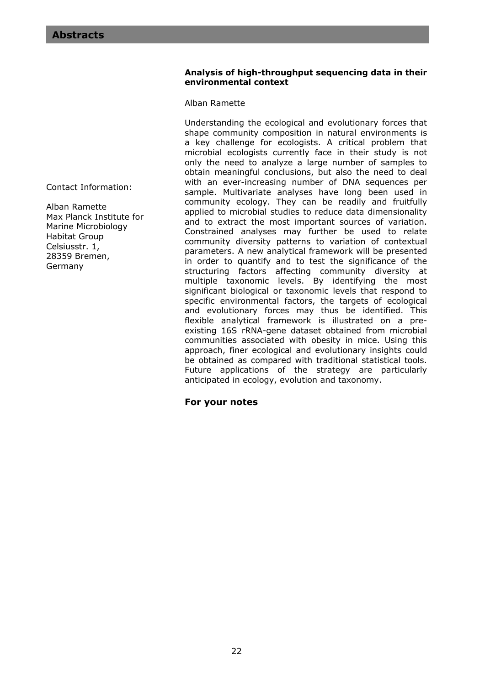### **Analysis of high-throughput sequencing data in their environmental context**

### Alban Ramette

Understanding the ecological and evolutionary forces that shape community composition in natural environments is a key challenge for ecologists. A critical problem that microbial ecologists currently face in their study is not only the need to analyze a large number of samples to obtain meaningful conclusions, but also the need to deal with an ever-increasing number of DNA sequences per sample. Multivariate analyses have long been used in community ecology. They can be readily and fruitfully applied to microbial studies to reduce data dimensionality and to extract the most important sources of variation. Constrained analyses may further be used to relate community diversity patterns to variation of contextual parameters. A new analytical framework will be presented in order to quantify and to test the significance of the structuring factors affecting community diversity at multiple taxonomic levels. By identifying the most significant biological or taxonomic levels that respond to specific environmental factors, the targets of ecological and evolutionary forces may thus be identified. This flexible analytical framework is illustrated on a preexisting 16S rRNA-gene dataset obtained from microbial communities associated with obesity in mice. Using this approach, finer ecological and evolutionary insights could be obtained as compared with traditional statistical tools. Future applications of the strategy are particularly anticipated in ecology, evolution and taxonomy.

# **For your notes**

Contact Information:

Alban Ramette Max Planck Institute for Marine Microbiology Habitat Group Celsiusstr. 1, 28359 Bremen, Germany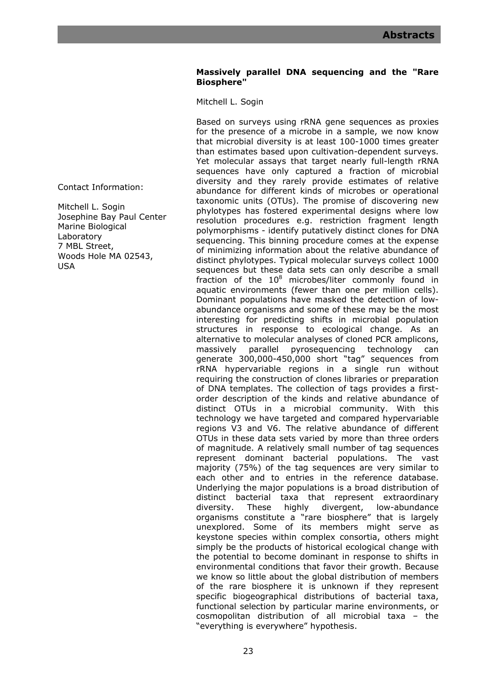# **Massively parallel DNA sequencing and the "Rare Biosphere"**

Mitchell L. Sogin

Based on surveys using rRNA gene sequences as proxies for the presence of a microbe in a sample, we now know that microbial diversity is at least 100-1000 times greater than estimates based upon cultivation-dependent surveys. Yet molecular assays that target nearly full-length rRNA sequences have only captured a fraction of microbial diversity and they rarely provide estimates of relative abundance for different kinds of microbes or operational taxonomic units (OTUs). The promise of discovering new phylotypes has fostered experimental designs where low resolution procedures e.g. restriction fragment length polymorphisms - identify putatively distinct clones for DNA sequencing. This binning procedure comes at the expense of minimizing information about the relative abundance of distinct phylotypes. Typical molecular surveys collect 1000 sequences but these data sets can only describe a small fraction of the  $10^8$  microbes/liter commonly found in aquatic environments (fewer than one per million cells). Dominant populations have masked the detection of lowabundance organisms and some of these may be the most interesting for predicting shifts in microbial population structures in response to ecological change. As an alternative to molecular analyses of cloned PCR amplicons, massively parallel pyrosequencing technology can generate 300,000-450,000 short "tag" sequences from rRNA hypervariable regions in a single run without requiring the construction of clones libraries or preparation of DNA templates. The collection of tags provides a firstorder description of the kinds and relative abundance of distinct OTUs in a microbial community. With this technology we have targeted and compared hypervariable regions V3 and V6. The relative abundance of different OTUs in these data sets varied by more than three orders of magnitude. A relatively small number of tag sequences represent dominant bacterial populations. The vast majority (75%) of the tag sequences are very similar to each other and to entries in the reference database. Underlying the major populations is a broad distribution of distinct bacterial taxa that represent extraordinary diversity. These highly divergent, low-abundance organisms constitute a "rare biosphere" that is largely unexplored. Some of its members might serve as keystone species within complex consortia, others might simply be the products of historical ecological change with the potential to become dominant in response to shifts in environmental conditions that favor their growth. Because we know so little about the global distribution of members of the rare biosphere it is unknown if they represent specific biogeographical distributions of bacterial taxa, functional selection by particular marine environments, or cosmopolitan distribution of all microbial taxa – the "everything is everywhere" hypothesis.

Contact Information:

Mitchell L. Sogin Josephine Bay Paul Center Marine Biological Laboratory 7 MBL Street, Woods Hole MA 02543, USA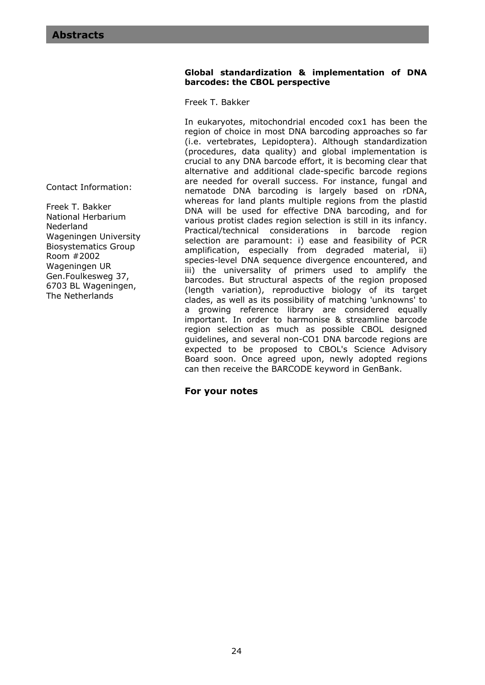# Contact Information:

Freek T. Bakker National Herbarium Nederland Wageningen University Biosystematics Group Room #2002 Wageningen UR Gen.Foulkesweg 37, 6703 BL Wageningen, The Netherlands

### **Global standardization & implementation of DNA barcodes: the CBOL perspective**

Freek T. Bakker

In eukaryotes, mitochondrial encoded cox1 has been the region of choice in most DNA barcoding approaches so far (i.e. vertebrates, Lepidoptera). Although standardization (procedures, data quality) and global implementation is crucial to any DNA barcode effort, it is becoming clear that alternative and additional clade-specific barcode regions are needed for overall success. For instance, fungal and nematode DNA barcoding is largely based on rDNA, whereas for land plants multiple regions from the plastid DNA will be used for effective DNA barcoding, and for various protist clades region selection is still in its infancy. Practical/technical considerations in barcode region selection are paramount: i) ease and feasibility of PCR amplification, especially from degraded material, ii) species-level DNA sequence divergence encountered, and iii) the universality of primers used to amplify the barcodes. But structural aspects of the region proposed (length variation), reproductive biology of its target clades, as well as its possibility of matching 'unknowns' to a growing reference library are considered equally important. In order to harmonise & streamline barcode region selection as much as possible CBOL designed guidelines, and several non-CO1 DNA barcode regions are expected to be proposed to CBOL's Science Advisory Board soon. Once agreed upon, newly adopted regions can then receive the BARCODE keyword in GenBank.

# **For your notes**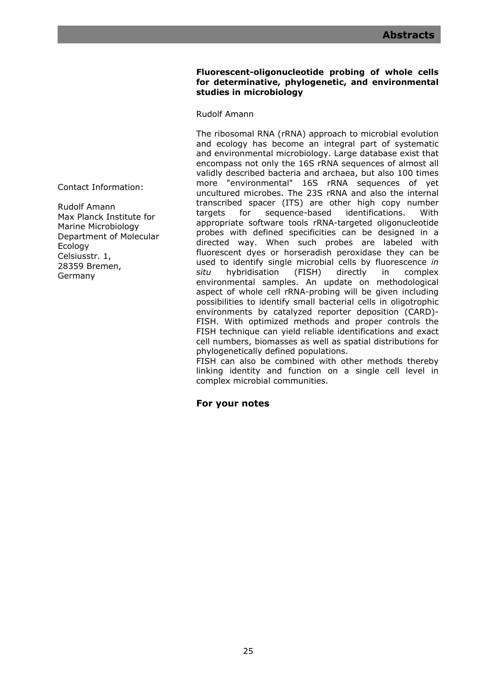# **Fluorescent-oligonucleotide probing of whole cells for determinative, phylogenetic, and environmental studies in microbiology**

Rudolf Amann

The ribosomal RNA (rRNA) approach to microbial evolution and ecology has become an integral part of systematic and environmental microbiology. Large database exist that encompass not only the 16S rRNA sequences of almost all validly described bacteria and archaea, but also 100 times more "environmental" 16S rRNA sequences of yet uncultured microbes. The 23S rRNA and also the internal transcribed spacer (ITS) are other high copy number targets for sequence-based identifications. With appropriate software tools rRNA-targeted oligonucleotide probes with defined specificities can be designed in a directed way. When such probes are labeled with fluorescent dyes or horseradish peroxidase they can be used to identify single microbial cells by fluorescence *in situ* hybridisation (FISH) directly in complex environmental samples. An update on methodological aspect of whole cell rRNA-probing will be given including possibilities to identify small bacterial cells in oligotrophic environments by catalyzed reporter deposition (CARD)- FISH. With optimized methods and proper controls the FISH technique can yield reliable identifications and exact cell numbers, biomasses as well as spatial distributions for phylogenetically defined populations.

FISH can also be combined with other methods thereby linking identity and function on a single cell level in complex microbial communities.

**For your notes** 

Contact Information:

Rudolf Amann Max Planck Institute for Marine Microbiology Department of Molecular Ecology Celsiusstr. 1, 28359 Bremen, Germany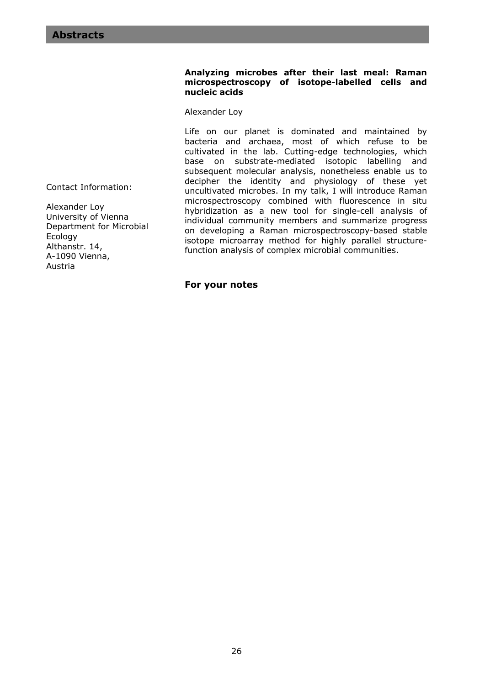#### **Analyzing microbes after their last meal: Raman microspectroscopy of isotope-labelled cells and nucleic acids**

Alexander Loy

Life on our planet is dominated and maintained by bacteria and archaea, most of which refuse to be cultivated in the lab. Cutting-edge technologies, which base on substrate-mediated isotopic labelling and subsequent molecular analysis, nonetheless enable us to decipher the identity and physiology of these yet uncultivated microbes. In my talk, I will introduce Raman microspectroscopy combined with fluorescence in situ hybridization as a new tool for single-cell analysis of individual community members and summarize progress on developing a Raman microspectroscopy-based stable isotope microarray method for highly parallel structurefunction analysis of complex microbial communities.

**For your notes** 

Contact Information:

Alexander Loy University of Vienna Department for Microbial Ecology Althanstr. 14, A-1090 Vienna, Austria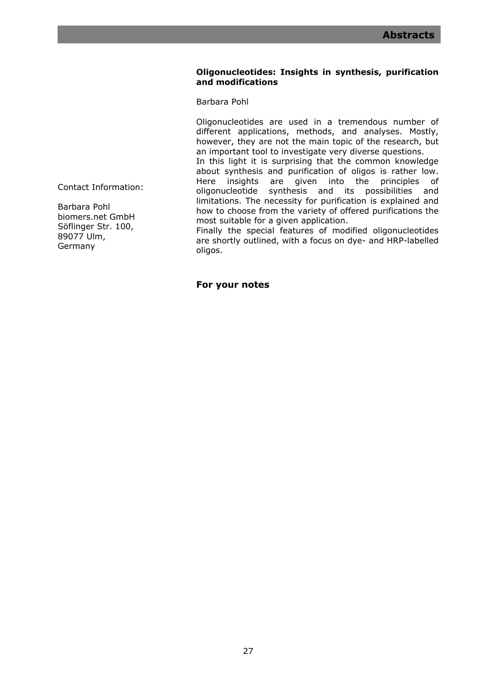# **Oligonucleotides: Insights in synthesis, purification and modifications**

Barbara Pohl

Oligonucleotides are used in a tremendous number of different applications, methods, and analyses. Mostly, however, they are not the main topic of the research, but an important tool to investigate very diverse questions.

In this light it is surprising that the common knowledge about synthesis and purification of oligos is rather low. Here insights are given into the principles of oligonucleotide synthesis and its possibilities and limitations. The necessity for purification is explained and how to choose from the variety of offered purifications the most suitable for a given application.

Finally the special features of modified oligonucleotides are shortly outlined, with a focus on dye- and HRP-labelled oligos.

**For your notes** 

Contact Information:

Barbara Pohl biomers.net GmbH Söflinger Str. 100, 89077 Ulm, Germany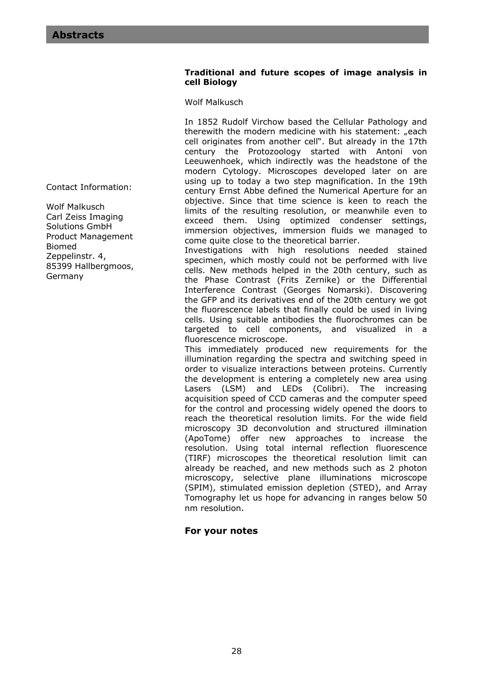# **Traditional and future scopes of image analysis in cell Biology**

Wolf Malkusch

In 1852 Rudolf Virchow based the Cellular Pathology and therewith the modern medicine with his statement: "each cell originates from another cell". But already in the 17th century the Protozoology started with Antoni von Leeuwenhoek, which indirectly was the headstone of the modern Cytology. Microscopes developed later on are using up to today a two step magnification. In the 19th century Ernst Abbe defined the Numerical Aperture for an objective. Since that time science is keen to reach the limits of the resulting resolution, or meanwhile even to exceed them. Using optimized condenser settings, immersion objectives, immersion fluids we managed to come quite close to the theoretical barrier.

Investigations with high resolutions needed stained specimen, which mostly could not be performed with live cells. New methods helped in the 20th century, such as the Phase Contrast (Frits Zernike) or the Differential Interference Contrast (Georges Nomarski). Discovering the GFP and its derivatives end of the 20th century we got the fluorescence labels that finally could be used in living cells. Using suitable antibodies the fluorochromes can be targeted to cell components, and visualized in a fluorescence microscope.

This immediately produced new requirements for the illumination regarding the spectra and switching speed in order to visualize interactions between proteins. Currently the development is entering a completely new area using Lasers (LSM) and LEDs (Colibri). The increasing acquisition speed of CCD cameras and the computer speed for the control and processing widely opened the doors to reach the theoretical resolution limits. For the wide field microscopy 3D deconvolution and structured illmination (ApoTome) offer new approaches to increase the resolution. Using total internal reflection fluorescence (TIRF) microscopes the theoretical resolution limit can already be reached, and new methods such as 2 photon microscopy, selective plane illuminations microscope (SPIM), stimulated emission depletion (STED), and Array Tomography let us hope for advancing in ranges below 50 nm resolution.

# **For your notes**

Contact Information:

Wolf Malkusch Carl Zeiss Imaging Solutions GmbH Product Management Biomed Zeppelinstr. 4, 85399 Hallbergmoos, Germany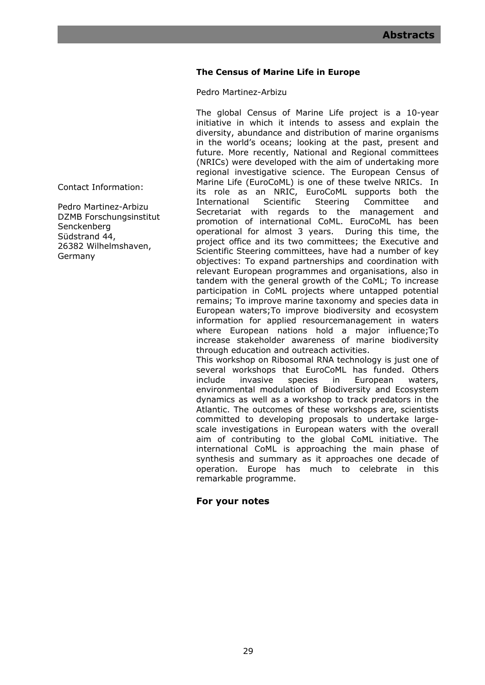# **The Census of Marine Life in Europe**

Pedro Martinez-Arbizu

The global Census of Marine Life project is a 10-year initiative in which it intends to assess and explain the diversity, abundance and distribution of marine organisms in the world's oceans; looking at the past, present and future. More recently, National and Regional committees (NRICs) were developed with the aim of undertaking more regional investigative science. The European Census of Marine Life (EuroCoML) is one of these twelve NRICs. In its role as an NRIC, EuroCoML supports both the International Scientific Steering Committee and Secretariat with regards to the management and promotion of international CoML. EuroCoML has been operational for almost 3 years. During this time, the project office and its two committees; the Executive and Scientific Steering committees, have had a number of key objectives: To expand partnerships and coordination with relevant European programmes and organisations, also in tandem with the general growth of the CoML; To increase participation in CoML projects where untapped potential remains; To improve marine taxonomy and species data in European waters;To improve biodiversity and ecosystem information for applied resourcemanagement in waters where European nations hold a major influence;To increase stakeholder awareness of marine biodiversity through education and outreach activities. This workshop on Ribosomal RNA technology is just one of several workshops that EuroCoML has funded. Others include invasive species in European waters,

environmental modulation of Biodiversity and Ecosystem dynamics as well as a workshop to track predators in the Atlantic. The outcomes of these workshops are, scientists committed to developing proposals to undertake largescale investigations in European waters with the overall aim of contributing to the global CoML initiative. The international CoML is approaching the main phase of synthesis and summary as it approaches one decade of operation. Europe has much to celebrate in this remarkable programme.

# **For your notes**

Contact Information:

Pedro Martinez-Arbizu DZMB Forschungsinstitut **Senckenberg** Südstrand 44, 26382 Wilhelmshaven, Germany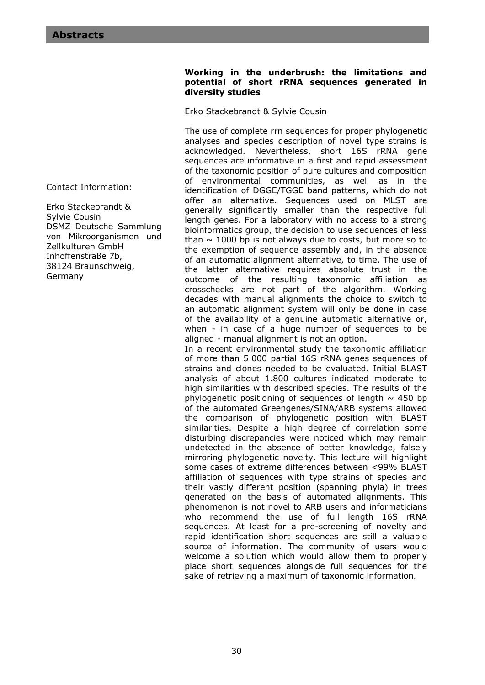Contact Information:

Erko Stackebrandt & Sylvie Cousin DSMZ Deutsche Sammlung von Mikroorganismen und Zellkulturen GmbH Inhoffenstraße 7b, 38124 Braunschweig, Germany

## **Working in the underbrush: the limitations and potential of short rRNA sequences generated in diversity studies**

Erko Stackebrandt & Sylvie Cousin

The use of complete rrn sequences for proper phylogenetic analyses and species description of novel type strains is acknowledged. Nevertheless, short 16S rRNA gene sequences are informative in a first and rapid assessment of the taxonomic position of pure cultures and composition of environmental communities, as well as in the identification of DGGE/TGGE band patterns, which do not offer an alternative. Sequences used on MLST are generally significantly smaller than the respective full length genes. For a laboratory with no access to a strong bioinformatics group, the decision to use sequences of less than  $\sim$  1000 bp is not always due to costs, but more so to the exemption of sequence assembly and, in the absence of an automatic alignment alternative, to time. The use of the latter alternative requires absolute trust in the outcome of the resulting taxonomic affiliation as crosschecks are not part of the algorithm. Working decades with manual alignments the choice to switch to an automatic alignment system will only be done in case of the availability of a genuine automatic alternative or, when - in case of a huge number of sequences to be aligned - manual alignment is not an option.

In a recent environmental study the taxonomic affiliation of more than 5.000 partial 16S rRNA genes sequences of strains and clones needed to be evaluated. Initial BLAST analysis of about 1.800 cultures indicated moderate to high similarities with described species. The results of the phylogenetic positioning of sequences of length  $\sim$  450 bp of the automated Greengenes/SINA/ARB systems allowed the comparison of phylogenetic position with BLAST similarities. Despite a high degree of correlation some disturbing discrepancies were noticed which may remain undetected in the absence of better knowledge, falsely mirroring phylogenetic novelty. This lecture will highlight some cases of extreme differences between <99% BLAST affiliation of sequences with type strains of species and their vastly different position (spanning phyla) in trees generated on the basis of automated alignments. This phenomenon is not novel to ARB users and informaticians who recommend the use of full length 16S rRNA sequences. At least for a pre-screening of novelty and rapid identification short sequences are still a valuable source of information. The community of users would welcome a solution which would allow them to properly place short sequences alongside full sequences for the sake of retrieving a maximum of taxonomic information.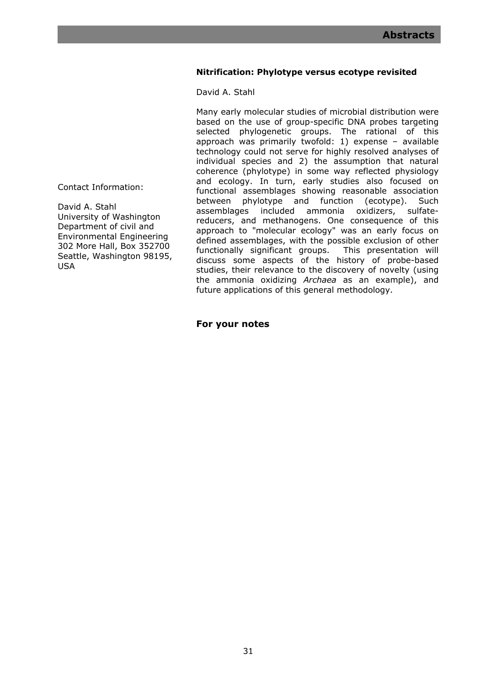# **Nitrification: Phylotype versus ecotype revisited**

David A. Stahl

Many early molecular studies of microbial distribution were based on the use of group-specific DNA probes targeting selected phylogenetic groups. The rational of this approach was primarily twofold: 1) expense – available technology could not serve for highly resolved analyses of individual species and 2) the assumption that natural coherence (phylotype) in some way reflected physiology and ecology. In turn, early studies also focused on functional assemblages showing reasonable association between phylotype and function (ecotype). Such assemblages included ammonia oxidizers. sulfateassemblages included ammonia oxidizers, reducers, and methanogens. One consequence of this approach to "molecular ecology" was an early focus on defined assemblages, with the possible exclusion of other functionally significant groups. This presentation will discuss some aspects of the history of probe-based studies, their relevance to the discovery of novelty (using the ammonia oxidizing *Archaea* as an example), and future applications of this general methodology.

**For your notes** 

Contact Information:

David A. Stahl University of Washington Department of civil and Environmental Engineering 302 More Hall, Box 352700 Seattle, Washington 98195, USA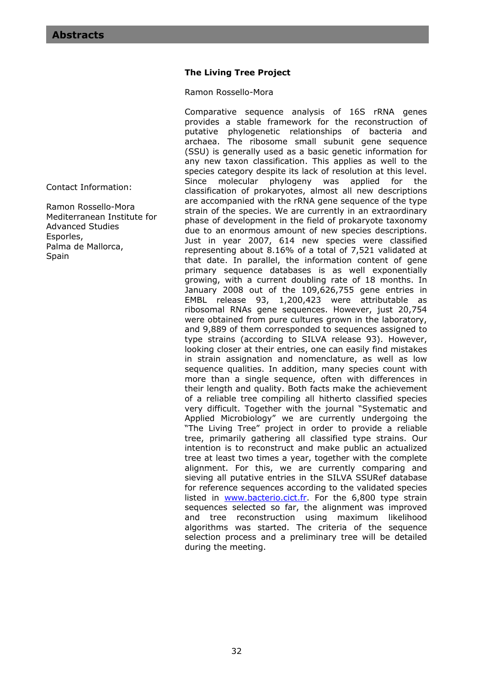# **The Living Tree Project**

Ramon Rossello-Mora

Comparative sequence analysis of 16S rRNA genes provides a stable framework for the reconstruction of putative phylogenetic relationships of bacteria and archaea. The ribosome small subunit gene sequence (SSU) is generally used as a basic genetic information for any new taxon classification. This applies as well to the species category despite its lack of resolution at this level. Since molecular phylogeny was applied for the classification of prokaryotes, almost all new descriptions are accompanied with the rRNA gene sequence of the type strain of the species. We are currently in an extraordinary phase of development in the field of prokaryote taxonomy due to an enormous amount of new species descriptions. Just in year 2007, 614 new species were classified representing about 8.16% of a total of 7,521 validated at that date. In parallel, the information content of gene primary sequence databases is as well exponentially growing, with a current doubling rate of 18 months. In January 2008 out of the 109,626,755 gene entries in EMBL release 93, 1,200,423 were attributable as ribosomal RNAs gene sequences. However, just 20,754 were obtained from pure cultures grown in the laboratory, and 9,889 of them corresponded to sequences assigned to type strains (according to SILVA release 93). However, looking closer at their entries, one can easily find mistakes in strain assignation and nomenclature, as well as low sequence qualities. In addition, many species count with more than a single sequence, often with differences in their length and quality. Both facts make the achievement of a reliable tree compiling all hitherto classified species very difficult. Together with the journal "Systematic and Applied Microbiology" we are currently undergoing the "The Living Tree" project in order to provide a reliable tree, primarily gathering all classified type strains. Our intention is to reconstruct and make public an actualized tree at least two times a year, together with the complete alignment. For this, we are currently comparing and sieving all putative entries in the SILVA SSURef database for reference sequences according to the validated species listed in www.bacterio.cict.fr. For the 6,800 type strain sequences selected so far, the alignment was improved and tree reconstruction using maximum likelihood algorithms was started. The criteria of the sequence selection process and a preliminary tree will be detailed during the meeting.

Contact Information:

Ramon Rossello-Mora Mediterranean Institute for Advanced Studies Esporles, Palma de Mallorca, **Spain**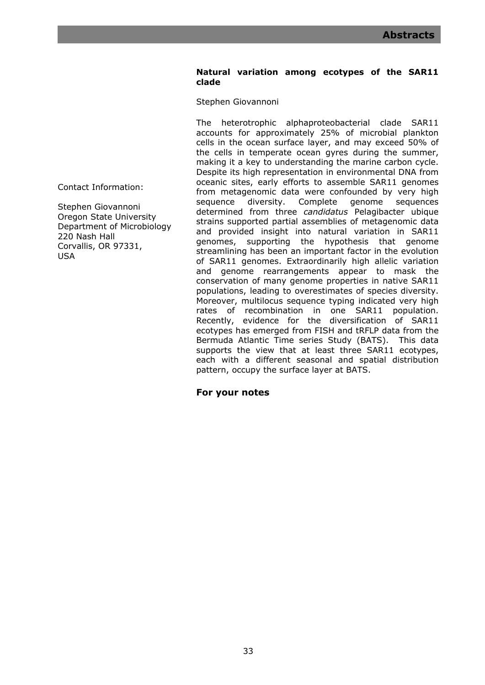### **Natural variation among ecotypes of the SAR11 clade**

Stephen Giovannoni

The heterotrophic alphaproteobacterial clade SAR11 accounts for approximately 25% of microbial plankton cells in the ocean surface layer, and may exceed 50% of the cells in temperate ocean gyres during the summer, making it a key to understanding the marine carbon cycle. Despite its high representation in environmental DNA from oceanic sites, early efforts to assemble SAR11 genomes from metagenomic data were confounded by very high sequence diversity. Complete genome sequences determined from three *candidatus* Pelagibacter ubique strains supported partial assemblies of metagenomic data and provided insight into natural variation in SAR11 genomes, supporting the hypothesis that genome streamlining has been an important factor in the evolution of SAR11 genomes. Extraordinarily high allelic variation and genome rearrangements appear to mask the conservation of many genome properties in native SAR11 populations, leading to overestimates of species diversity. Moreover, multilocus sequence typing indicated very high rates of recombination in one SAR11 population. Recently, evidence for the diversification of SAR11 ecotypes has emerged from FISH and tRFLP data from the Bermuda Atlantic Time series Study (BATS). This data supports the view that at least three SAR11 ecotypes, each with a different seasonal and spatial distribution pattern, occupy the surface layer at BATS.

**For your notes** 

Contact Information:

Stephen Giovannoni Oregon State University Department of Microbiology 220 Nash Hall Corvallis, OR 97331, USA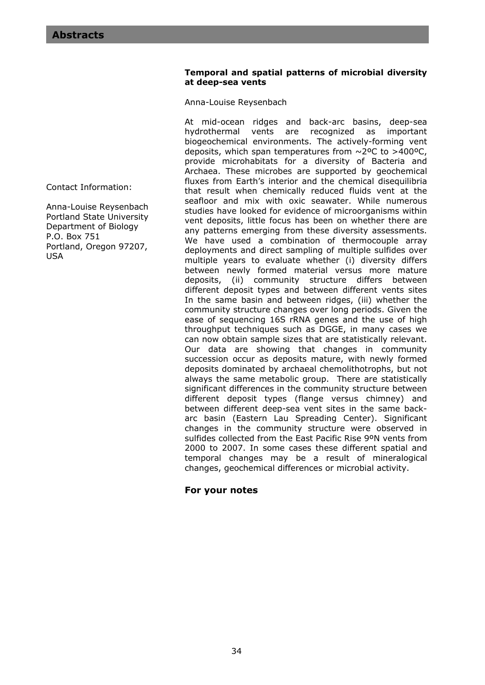# **Temporal and spatial patterns of microbial diversity at deep-sea vents**

Anna-Louise Reysenbach

At mid-ocean ridges and back-arc basins, deep-sea hydrothermal vents are recognized as important biogeochemical environments. The actively-forming vent deposits, which span temperatures from  $\sim$  2°C to >400°C, provide microhabitats for a diversity of Bacteria and Archaea. These microbes are supported by geochemical fluxes from Earth's interior and the chemical disequilibria that result when chemically reduced fluids vent at the seafloor and mix with oxic seawater. While numerous studies have looked for evidence of microorganisms within vent deposits, little focus has been on whether there are any patterns emerging from these diversity assessments. We have used a combination of thermocouple array deployments and direct sampling of multiple sulfides over multiple years to evaluate whether (i) diversity differs between newly formed material versus more mature deposits, (ii) community structure differs between different deposit types and between different vents sites In the same basin and between ridges, (iii) whether the community structure changes over long periods. Given the ease of sequencing 16S rRNA genes and the use of high throughput techniques such as DGGE, in many cases we can now obtain sample sizes that are statistically relevant. Our data are showing that changes in community succession occur as deposits mature, with newly formed deposits dominated by archaeal chemolithotrophs, but not always the same metabolic group. There are statistically significant differences in the community structure between different deposit types (flange versus chimney) and between different deep-sea vent sites in the same backarc basin (Eastern Lau Spreading Center). Significant changes in the community structure were observed in sulfides collected from the East Pacific Rise 9ºN vents from 2000 to 2007. In some cases these different spatial and temporal changes may be a result of mineralogical changes, geochemical differences or microbial activity.

# **For your notes**

Contact Information:

Anna-Louise Reysenbach Portland State University Department of Biology P.O. Box 751 Portland, Oregon 97207, USA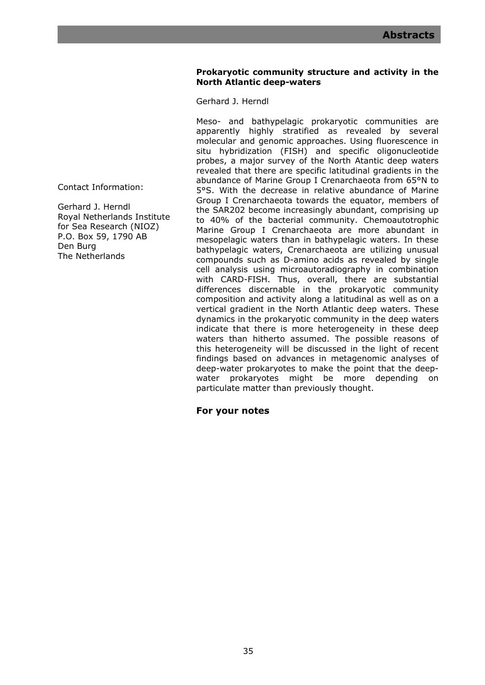# **Prokaryotic community structure and activity in the North Atlantic deep-waters**

Gerhard J. Herndl

Meso- and bathypelagic prokaryotic communities are apparently highly stratified as revealed by several molecular and genomic approaches. Using fluorescence in situ hybridization (FISH) and specific oligonucleotide probes, a major survey of the North Atantic deep waters revealed that there are specific latitudinal gradients in the abundance of Marine Group I Crenarchaeota from 65°N to 5°S. With the decrease in relative abundance of Marine Group I Crenarchaeota towards the equator, members of the SAR202 become increasingly abundant, comprising up to 40% of the bacterial community. Chemoautotrophic Marine Group I Crenarchaeota are more abundant in mesopelagic waters than in bathypelagic waters. In these bathypelagic waters, Crenarchaeota are utilizing unusual compounds such as D-amino acids as revealed by single cell analysis using microautoradiography in combination with CARD-FISH. Thus, overall, there are substantial differences discernable in the prokaryotic community composition and activity along a latitudinal as well as on a vertical gradient in the North Atlantic deep waters. These dynamics in the prokaryotic community in the deep waters indicate that there is more heterogeneity in these deep waters than hitherto assumed. The possible reasons of this heterogeneity will be discussed in the light of recent findings based on advances in metagenomic analyses of deep-water prokaryotes to make the point that the deepwater prokaryotes might be more depending on particulate matter than previously thought.

**For your notes** 

Contact Information:

Gerhard J. Herndl Royal Netherlands Institute for Sea Research (NIOZ) P.O. Box 59, 1790 AB Den Burg The Netherlands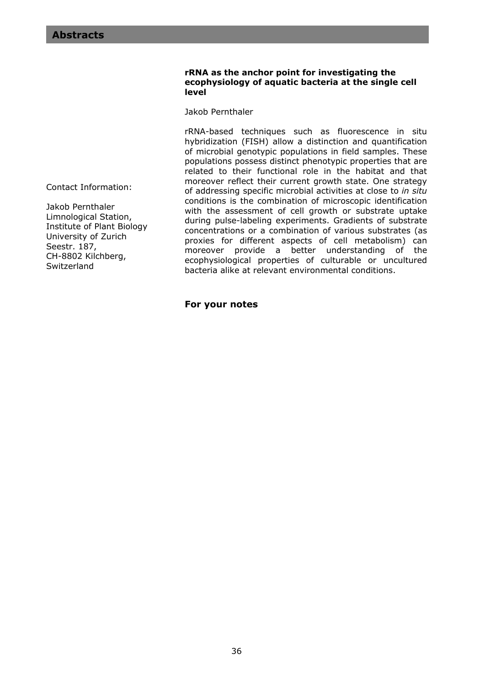### **rRNA as the anchor point for investigating the ecophysiology of aquatic bacteria at the single cell level**

Jakob Pernthaler

rRNA-based techniques such as fluorescence in situ hybridization (FISH) allow a distinction and quantification of microbial genotypic populations in field samples. These populations possess distinct phenotypic properties that are related to their functional role in the habitat and that moreover reflect their current growth state. One strategy of addressing specific microbial activities at close to *in situ* conditions is the combination of microscopic identification with the assessment of cell growth or substrate uptake during pulse-labeling experiments. Gradients of substrate concentrations or a combination of various substrates (as proxies for different aspects of cell metabolism) can moreover provide a better understanding of the ecophysiological properties of culturable or uncultured bacteria alike at relevant environmental conditions.

**For your notes** 

Contact Information:

Jakob Pernthaler Limnological Station, Institute of Plant Biology University of Zurich Seestr. 187, CH-8802 Kilchberg, **Switzerland**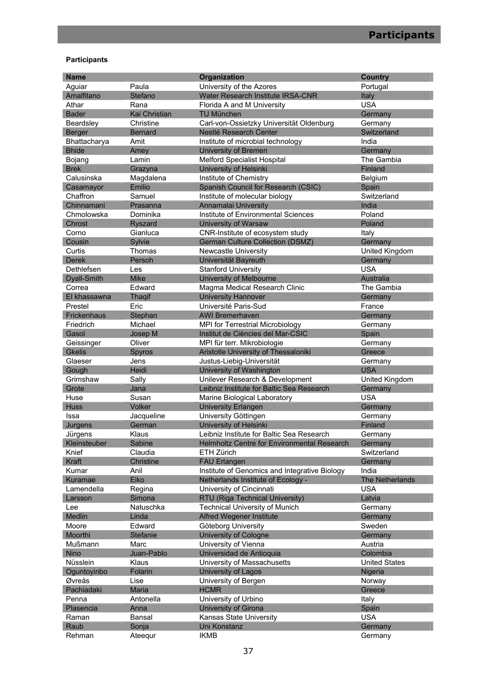# **Participants**

| <b>Name</b>   |                      | Organization                                  | <b>Country</b>       |
|---------------|----------------------|-----------------------------------------------|----------------------|
| Aguiar        | Paula                | University of the Azores                      | Portugal             |
| Amalfitano    | Stefano              | Water Research Institute IRSA-CNR             | Italy                |
| Athar         | Rana                 | Florida A and M University                    | <b>USA</b>           |
| <b>Bader</b>  | <b>Kai Christian</b> | <b>TU München</b>                             | Germany              |
| Beardsley     | Christine            | Carl-von-Ossietzky Universität Oldenburg      | Germany              |
| Berger        | <b>Bernard</b>       | Nestlé Research Center                        | Switzerland          |
| Bhattacharya  | Amit                 | Institute of microbial technology             | India                |
| <b>Bhide</b>  | Amey                 | University of Bremen                          | Germany              |
| Bojang        | Lamin                | <b>Melford Specialist Hospital</b>            | The Gambia           |
| <b>Brek</b>   | Grazyna              | University of Helsinki                        | Finland              |
| Calusinska    | Magdalena            | Institute of Chemistry                        | Belgium              |
| Casamayor     | Emilio               | Spanish Council for Research (CSIC)           | Spain                |
| Chaffron      | Samuel               | Institute of molecular biology                | Switzerland          |
| Chinnamani    | Prasanna             | Annamalai University                          | India                |
| Chmolowska    | Dominika             | Institute of Environmental Sciences           | Poland               |
| Chrost        | Ryszard              | University of Warsaw                          | Poland               |
| Corno         | Gianluca             | CNR-Institute of ecosystem study              | Italy                |
| Cousin        | Sylvie               | German Culture Collection (DSMZ)              | Germany              |
| Curtis        | Thomas               | Newcastle University                          | United Kingdom       |
| <b>Derek</b>  | Persoh               | Universität Bayreuth                          | Germany              |
| Dethlefsen    | Les                  | <b>Stanford University</b>                    | <b>USA</b>           |
| Dyall-Smith   | <b>Mike</b>          | University of Melbourne                       | <b>Australia</b>     |
| Correa        | Edward               | Magma Medical Research Clinic                 | The Gambia           |
| El khassawna  | <b>Thagif</b>        | <b>University Hannover</b>                    | Germany              |
| Prestel       | Eric                 | Université Paris-Sud                          | France               |
| Frickenhaus   | Stephan              | <b>AWI Bremerhaven</b>                        | Germany              |
| Friedrich     | Michael              | MPI for Terrestrial Microbiology              | Germany              |
| Gasol         | Josep M              | Institut de Ciències del Mar-CSIC             | Spain                |
| Geissinger    | Oliver               | MPI für terr. Mikrobiologie                   | Germany              |
| <b>Gkelis</b> | Spyros               | Aristotle University of Thessaloniki          | Greece               |
| Glaeser       | Jens                 | Justus-Liebig-Universität                     | Germany              |
| Gough         | Heidi                | University of Washington                      | <b>USA</b>           |
| Grimshaw      | Sally                | Unilever Research & Development               | United Kingdom       |
| Grote         | Jana                 | Leibniz Institute for Baltic Sea Research     | Germany              |
| Huse          | Susan                | Marine Biological Laboratory                  | <b>USA</b>           |
| <b>Huss</b>   | Volker               | <b>University Erlangen</b>                    | Germany              |
| Issa          | Jacqueline           | University Göttingen                          | Germany              |
| Jurgens       | German               | University of Helsinki                        | Finland              |
| Jürgens       | Klaus                | Leibniz Institute for Baltic Sea Research     | Germany              |
| Kleinsteuber  | Sabine               | Helmholtz Centre for Environmental Research   | Germany              |
| Knief         | Claudia              | ETH Zürich                                    | Switzerland          |
| Kraft         | Christine            | <b>FAU Erlangen</b>                           | Germany              |
| Kumar         | Anil                 | Institute of Genomics and Integrative Biology | India                |
| Kuramae       | Eiko                 | Netherlands Institute of Ecology -            | The Netherlands      |
| Lamendella    | Regina               | University of Cincinnati                      | <b>USA</b>           |
| Larsson       | Simona               | RTU (Riga Technical University)               | Latvia               |
| Lee           | Natuschka            | <b>Technical University of Munich</b>         | Germany              |
| Medlin        | Linda                | <b>Alfred Wegener Institute</b>               | Germany              |
| Moore         | Edward               | Göteborg University                           | Sweden               |
| Moorthi       | Stefanie             | <b>University of Cologne</b>                  | Germany              |
| Mußmann       | Marc                 | University of Vienna                          | Austria              |
| Nino          | Juan-Pablo           | Universidad de Antioquia                      | Colombia             |
| Nüsslein      | Klaus                | University of Massachusetts                   | <b>United States</b> |
| Oguntoyinbo   | Folarin              | University of Lagos                           | Nigeria              |
| Øvreås        | Lise                 | University of Bergen                          | Norway               |
| Pachiadaki    | Maria                | <b>HCMR</b>                                   | Greece               |
| Penna         | Antonella            | University of Urbino                          | Italy                |
| Plasencia     | Anna                 | <b>University of Girona</b>                   | Spain                |
| Raman         | Bansal               | Kansas State University                       | <b>USA</b>           |
| Raub          | Sonja                | Uni Konstanz                                  | Germany              |
| Rehman        | Ateequr              | <b>IKMB</b>                                   | Germany              |